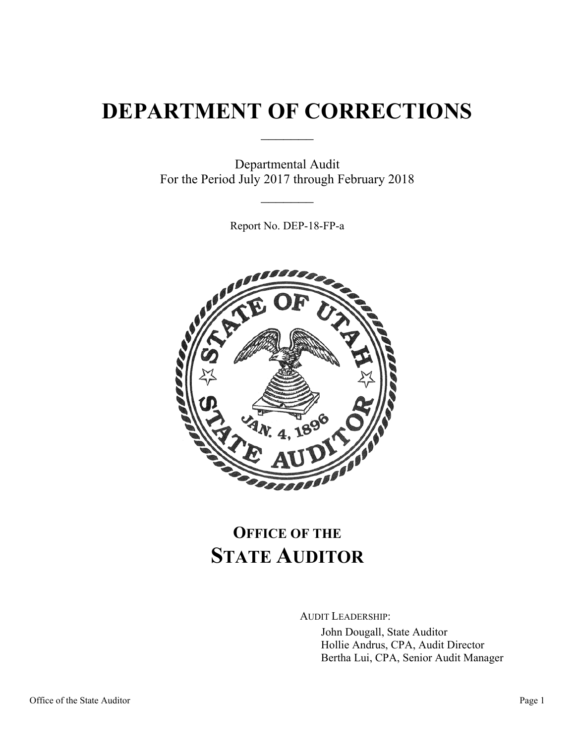## **DEPARTMENT OF CORRECTIONS**

 $\frac{1}{2}$ 

Departmental Audit For the Period July 2017 through February 2018

 $\frac{1}{2}$ 

Report No. DEP-18-FP-a



## **OFFICE OF THE STATE AUDITOR**

AUDIT LEADERSHIP:

John Dougall, State Auditor Hollie Andrus, CPA, Audit Director Bertha Lui, CPA, Senior Audit Manager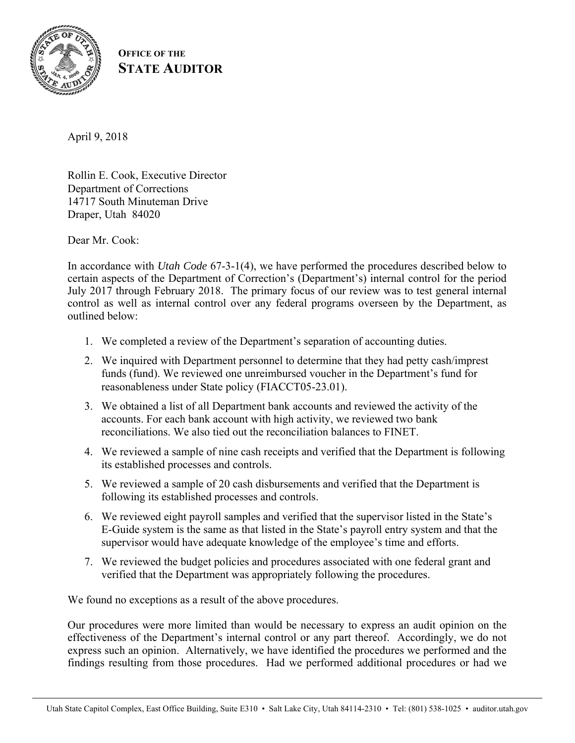

**OFFICE OF THE STATE AUDITOR**

April 9, 2018

Rollin E. Cook, Executive Director Department of Corrections 14717 South Minuteman Drive Draper, Utah 84020

Dear Mr. Cook:

In accordance with *Utah Code* 67-3-1(4), we have performed the procedures described below to certain aspects of the Department of Correction's (Department's) internal control for the period July 2017 through February 2018. The primary focus of our review was to test general internal control as well as internal control over any federal programs overseen by the Department, as outlined below:

- 1. We completed a review of the Department's separation of accounting duties.
- 2. We inquired with Department personnel to determine that they had petty cash/imprest funds (fund). We reviewed one unreimbursed voucher in the Department's fund for reasonableness under State policy (FIACCT05-23.01).
- 3. We obtained a list of all Department bank accounts and reviewed the activity of the accounts. For each bank account with high activity, we reviewed two bank reconciliations. We also tied out the reconciliation balances to FINET.
- 4. We reviewed a sample of nine cash receipts and verified that the Department is following its established processes and controls.
- 5. We reviewed a sample of 20 cash disbursements and verified that the Department is following its established processes and controls.
- 6. We reviewed eight payroll samples and verified that the supervisor listed in the State's E-Guide system is the same as that listed in the State's payroll entry system and that the supervisor would have adequate knowledge of the employee's time and efforts.
- 7. We reviewed the budget policies and procedures associated with one federal grant and verified that the Department was appropriately following the procedures.

We found no exceptions as a result of the above procedures.

Our procedures were more limited than would be necessary to express an audit opinion on the effectiveness of the Department's internal control or any part thereof. Accordingly, we do not express such an opinion. Alternatively, we have identified the procedures we performed and the findings resulting from those procedures. Had we performed additional procedures or had we